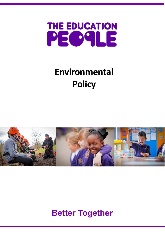

## **Environmental Policy**



## **Better Together**